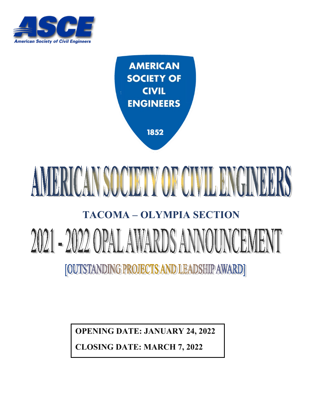

**AMERICAN SOCIETY OF CIVIL ENGINEERS** 

1852

# AMERICAN SOCIETY OF CIVIL ENGINEERS

#### **TACOMA – OLYMPIA SECTION**

# 2021 - 2022 OPAL AWARDS ANNOUNCEMEN [OUTSTANDING PROJECTS AND LEADSHIP AWARD]

**OPENING DATE: JANUARY 24, 2022**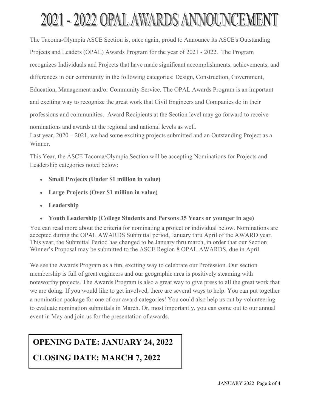# 2021 - 2022 OPAL AWARDS ANNOUNCEMENT

The Tacoma-Olympia ASCE Section is, once again, proud to Announce its ASCE's Outstanding Projects and Leaders (OPAL) Awards Program for the year of 2021 - 2022. The Program recognizes Individuals and Projects that have made significant accomplishments, achievements, and differences in our community in the following categories: Design, Construction, Government, Education, Management and/or Community Service. The OPAL Awards Program is an important and exciting way to recognize the great work that Civil Engineers and Companies do in their professions and communities. Award Recipients at the Section level may go forward to receive nominations and awards at the regional and national levels as well. Last year,  $2020 - 2021$ , we had some exciting projects submitted and an Outstanding Project as a Winner.

This Year, the ASCE Tacoma/Olympia Section will be accepting Nominations for Projects and Leadership categories noted below:

- **Small Projects (Under \$1 million in value)**
- **Large Projects (Over \$1 million in value)**
- **Leadership**
- **Youth Leadership (College Students and Persons 35 Years or younger in age)**

You can read more about the criteria for nominating a project or individual below. Nominations are accepted during the OPAL AWARDS Submittal period, January thru April of the AWARD year. This year, the Submittal Period has changed to be January thru march, in order that our Section Winner's Proposal may be submitted to the ASCE Region 8 OPAL AWARDS, due in April.

We see the Awards Program as a fun, exciting way to celebrate our Profession. Our section membership is full of great engineers and our geographic area is positively steaming with noteworthy projects. The Awards Program is also a great way to give press to all the great work that we are doing. If you would like to get involved, there are several ways to help. You can put together a nomination package for one of our award categories! You could also help us out by volunteering to evaluate nomination submittals in March. Or, most importantly, you can come out to our annual event in May and join us for the presentation of awards.

### **OPENING DATE: JANUARY 24, 2022**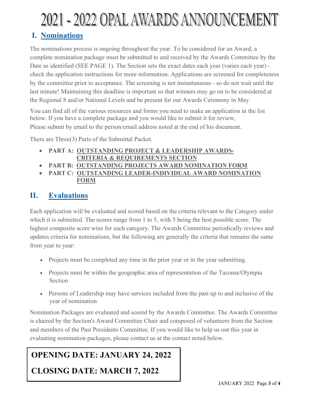# 2021 - 2022 OPAL AWARDS ANNOUNCEMENT

#### **I. Nominations**

The nominations process is ongoing throughout the year. To be considered for an Award, a complete nomination package must be submitted to and received by the Awards Committee by the Date as identified (SEE PAGE 1). The Section sets the exact dates each year (varies each year) check the application instructions for more information. Applications are screened for completeness by the committee prior to acceptance. The screening is not instantaneous - so do not wait until the last minute! Maintaining this deadline is important so that winners may go on to be considered at the Regional 8 and/or National Levels and be present for our Awards Ceremony in May.

You can find all of the various resources and forms you need to make an application in the list below. If you have a complete package and you would like to submit it for review, Please submit by email to the person/email address noted at the end of his document.

There are Three(3) Parts of the Submittal Packet.

- **PART A: OUTSTANDING PROJECT & LEADERSHIP AWARDS- CRITERIA & REQUIREMENTS SECTION**
- **PART B: OUTSTANDING PROJECTS AWARD NOMINATION FORM**
- **PART C: OUTSTANDING LEADER-INDIVIDUAL AWARD NOMINATION FORM**

#### **II. Evaluations**

Each application will be evaluated and scored based on the criteria relevant to the Category under which it is submitted. The scores range from 1 to 5, with 5 being the best possible score. The highest composite score wins for each category. The Awards Committee periodically reviews and updates criteria for nominations, but the following are generally the criteria that remains the same from year to year:

- Projects must be completed any time in the prior year or in the year submitting.
- Projects must be within the geographic area of representation of the Tacoma/Olympia Section
- Persons of Leadership may have services included from the past up to and inclusive of the year of nomination

Nomination Packages are evaluated and scored by the Awards Committee. The Awards Committee is chaired by the Section's Award Committee Chair and composed of volunteers from the Section and members of the Past Presidents Committee. If you would like to help us out this year in evaluating nomination packages, please contact us at the contact noted below.

#### **OPENING DATE: JANUARY 24, 2022**